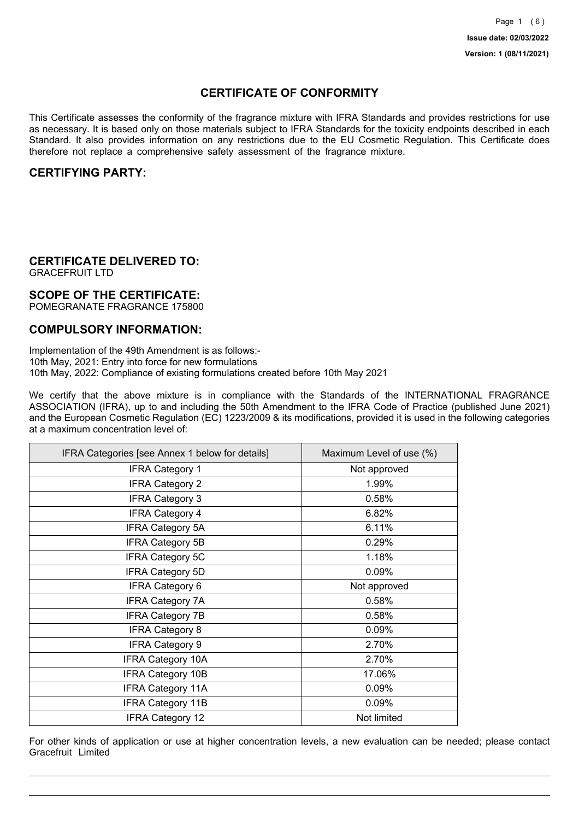## **CERTIFICATE OF CONFORMITY**

This Certificate assesses the conformity of the fragrance mixture with IFRA Standards and provides restrictions for use as necessary. It is based only on those materials subject to IFRA Standards for the toxicity endpoints described in each Standard. It also provides information on any restrictions due to the EU Cosmetic Regulation. This Certificate does therefore not replace a comprehensive safety assessment of the fragrance mixture.

### **CERTIFYING PARTY:**

## **CERTIFICATE DELIVERED TO:**

GRACEFRUIT LTD

### **SCOPE OF THE CERTIFICATE:**

POMEGRANATE FRAGRANCE 175800

### **COMPULSORY INFORMATION:**

Implementation of the 49th Amendment is as follows:- 10th May, 2021: Entry into force for new formulations 10th May, 2022: Compliance of existing formulations created before 10th May 2021

We certify that the above mixture is in compliance with the Standards of the INTERNATIONAL FRAGRANCE ASSOCIATION (IFRA), up to and including the 50th Amendment to the IFRA Code of Practice (published June 2021) and the European Cosmetic Regulation (EC) 1223/2009 & its modifications, provided it is used in the following categories at a maximum concentration level of:

| IFRA Categories [see Annex 1 below for details] | Maximum Level of use (%) |
|-------------------------------------------------|--------------------------|
| <b>IFRA Category 1</b>                          | Not approved             |
| <b>IFRA Category 2</b>                          | 1.99%                    |
| <b>IFRA Category 3</b>                          | 0.58%                    |
| <b>IFRA Category 4</b>                          | 6.82%                    |
| <b>IFRA Category 5A</b>                         | 6.11%                    |
| <b>IFRA Category 5B</b>                         | 0.29%                    |
| <b>IFRA Category 5C</b>                         | 1.18%                    |
| <b>IFRA Category 5D</b>                         | 0.09%                    |
| <b>IFRA Category 6</b>                          | Not approved             |
| <b>IFRA Category 7A</b>                         | 0.58%                    |
| <b>IFRA Category 7B</b>                         | 0.58%                    |
| <b>IFRA Category 8</b>                          | 0.09%                    |
| <b>IFRA Category 9</b>                          | 2.70%                    |
| <b>IFRA Category 10A</b>                        | 2.70%                    |
| <b>IFRA Category 10B</b>                        | 17.06%                   |
| <b>IFRA Category 11A</b>                        | 0.09%                    |
| <b>IFRA Category 11B</b>                        | 0.09%                    |
| <b>IFRA Category 12</b>                         | Not limited              |

For other kinds of application or use at higher concentration levels, a new evaluation can be needed; please contact Gracefruit Limited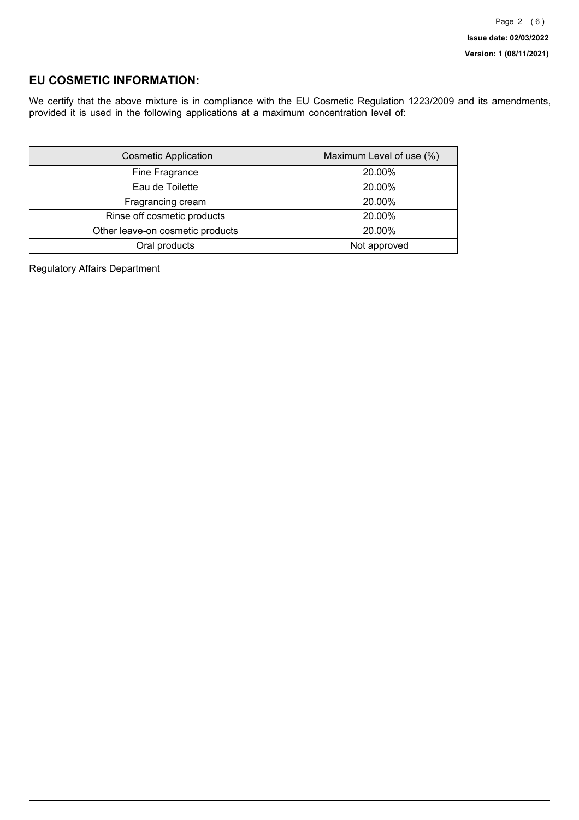## **EU COSMETIC INFORMATION:**

We certify that the above mixture is in compliance with the EU Cosmetic Regulation 1223/2009 and its amendments, provided it is used in the following applications at a maximum concentration level of:

| <b>Cosmetic Application</b>      | Maximum Level of use (%) |
|----------------------------------|--------------------------|
| Fine Fragrance                   | 20.00%                   |
| Eau de Toilette                  | 20.00%                   |
| Fragrancing cream                | 20.00%                   |
| Rinse off cosmetic products      | 20.00%                   |
| Other leave-on cosmetic products | 20.00%                   |
| Oral products                    | Not approved             |

Regulatory Affairs Department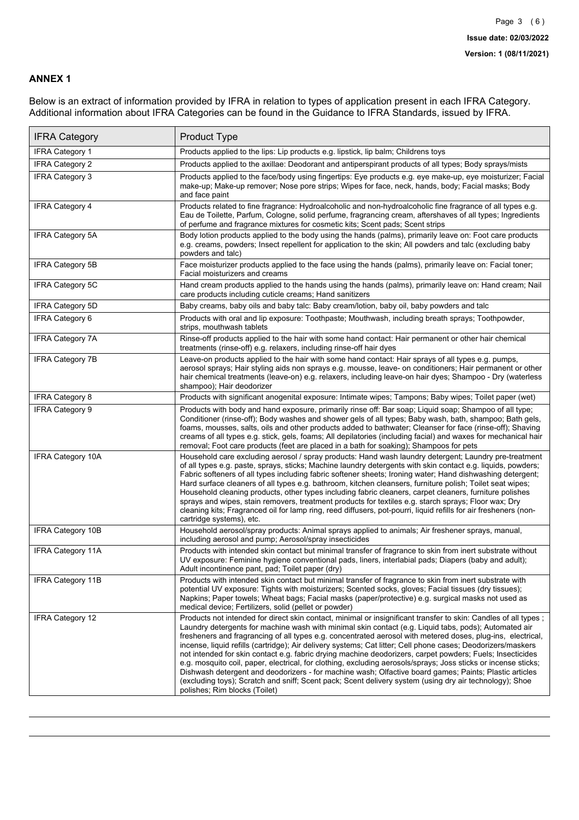#### **ANNEX 1**

Below is an extract of information provided by IFRA in relation to types of application present in each IFRA Category. Additional information about IFRA Categories can be found in the Guidance to IFRA Standards, issued by IFRA.

| <b>IFRA Category</b>     | Product Type                                                                                                                                                                                                                                                                                                                                                                                                                                                                                                                                                                                                                                                                                                                                                                                                                                                                                                                                 |
|--------------------------|----------------------------------------------------------------------------------------------------------------------------------------------------------------------------------------------------------------------------------------------------------------------------------------------------------------------------------------------------------------------------------------------------------------------------------------------------------------------------------------------------------------------------------------------------------------------------------------------------------------------------------------------------------------------------------------------------------------------------------------------------------------------------------------------------------------------------------------------------------------------------------------------------------------------------------------------|
| <b>IFRA Category 1</b>   | Products applied to the lips: Lip products e.g. lipstick, lip balm; Childrens toys                                                                                                                                                                                                                                                                                                                                                                                                                                                                                                                                                                                                                                                                                                                                                                                                                                                           |
| <b>IFRA Category 2</b>   | Products applied to the axillae: Deodorant and antiperspirant products of all types; Body sprays/mists                                                                                                                                                                                                                                                                                                                                                                                                                                                                                                                                                                                                                                                                                                                                                                                                                                       |
| <b>IFRA Category 3</b>   | Products applied to the face/body using fingertips: Eye products e.g. eye make-up, eye moisturizer; Facial<br>make-up; Make-up remover; Nose pore strips; Wipes for face, neck, hands, body; Facial masks; Body<br>and face paint                                                                                                                                                                                                                                                                                                                                                                                                                                                                                                                                                                                                                                                                                                            |
| <b>IFRA Category 4</b>   | Products related to fine fragrance: Hydroalcoholic and non-hydroalcoholic fine fragrance of all types e.g.<br>Eau de Toilette, Parfum, Cologne, solid perfume, fragrancing cream, aftershaves of all types; Ingredients<br>of perfume and fragrance mixtures for cosmetic kits; Scent pads; Scent strips                                                                                                                                                                                                                                                                                                                                                                                                                                                                                                                                                                                                                                     |
| <b>IFRA Category 5A</b>  | Body lotion products applied to the body using the hands (palms), primarily leave on: Foot care products<br>e.g. creams, powders; Insect repellent for application to the skin; All powders and talc (excluding baby<br>powders and talc)                                                                                                                                                                                                                                                                                                                                                                                                                                                                                                                                                                                                                                                                                                    |
| IFRA Category 5B         | Face moisturizer products applied to the face using the hands (palms), primarily leave on: Facial toner;<br>Facial moisturizers and creams                                                                                                                                                                                                                                                                                                                                                                                                                                                                                                                                                                                                                                                                                                                                                                                                   |
| <b>IFRA Category 5C</b>  | Hand cream products applied to the hands using the hands (palms), primarily leave on: Hand cream; Nail<br>care products including cuticle creams; Hand sanitizers                                                                                                                                                                                                                                                                                                                                                                                                                                                                                                                                                                                                                                                                                                                                                                            |
| <b>IFRA Category 5D</b>  | Baby creams, baby oils and baby talc: Baby cream/lotion, baby oil, baby powders and talc                                                                                                                                                                                                                                                                                                                                                                                                                                                                                                                                                                                                                                                                                                                                                                                                                                                     |
| IFRA Category 6          | Products with oral and lip exposure: Toothpaste; Mouthwash, including breath sprays; Toothpowder,<br>strips, mouthwash tablets                                                                                                                                                                                                                                                                                                                                                                                                                                                                                                                                                                                                                                                                                                                                                                                                               |
| <b>IFRA Category 7A</b>  | Rinse-off products applied to the hair with some hand contact: Hair permanent or other hair chemical<br>treatments (rinse-off) e.g. relaxers, including rinse-off hair dyes                                                                                                                                                                                                                                                                                                                                                                                                                                                                                                                                                                                                                                                                                                                                                                  |
| <b>IFRA Category 7B</b>  | Leave-on products applied to the hair with some hand contact: Hair sprays of all types e.g. pumps,<br>aerosol sprays; Hair styling aids non sprays e.g. mousse, leave- on conditioners; Hair permanent or other<br>hair chemical treatments (leave-on) e.g. relaxers, including leave-on hair dyes; Shampoo - Dry (waterless<br>shampoo); Hair deodorizer                                                                                                                                                                                                                                                                                                                                                                                                                                                                                                                                                                                    |
| <b>IFRA Category 8</b>   | Products with significant anogenital exposure: Intimate wipes; Tampons; Baby wipes; Toilet paper (wet)                                                                                                                                                                                                                                                                                                                                                                                                                                                                                                                                                                                                                                                                                                                                                                                                                                       |
| IFRA Category 9          | Products with body and hand exposure, primarily rinse off: Bar soap; Liquid soap; Shampoo of all type;<br>Conditioner (rinse-off); Body washes and shower gels of all types; Baby wash, bath, shampoo; Bath gels,<br>foams, mousses, salts, oils and other products added to bathwater; Cleanser for face (rinse-off); Shaving<br>creams of all types e.g. stick, gels, foams; All depilatories (including facial) and waxes for mechanical hair<br>removal; Foot care products (feet are placed in a bath for soaking); Shampoos for pets                                                                                                                                                                                                                                                                                                                                                                                                   |
| <b>IFRA Category 10A</b> | Household care excluding aerosol / spray products: Hand wash laundry detergent; Laundry pre-treatment<br>of all types e.g. paste, sprays, sticks; Machine laundry detergents with skin contact e.g. liquids, powders;<br>Fabric softeners of all types including fabric softener sheets; Ironing water; Hand dishwashing detergent;<br>Hard surface cleaners of all types e.g. bathroom, kitchen cleansers, furniture polish; Toilet seat wipes;<br>Household cleaning products, other types including fabric cleaners, carpet cleaners, furniture polishes<br>sprays and wipes, stain removers, treatment products for textiles e.g. starch sprays; Floor wax; Dry<br>cleaning kits; Fragranced oil for lamp ring, reed diffusers, pot-pourri, liquid refills for air fresheners (non-<br>cartridge systems), etc.                                                                                                                          |
| <b>IFRA Category 10B</b> | Household aerosol/spray products: Animal sprays applied to animals; Air freshener sprays, manual,<br>including aerosol and pump; Aerosol/spray insecticides                                                                                                                                                                                                                                                                                                                                                                                                                                                                                                                                                                                                                                                                                                                                                                                  |
| <b>IFRA Category 11A</b> | Products with intended skin contact but minimal transfer of fragrance to skin from inert substrate without<br>UV exposure: Feminine hygiene conventional pads, liners, interlabial pads; Diapers (baby and adult);<br>Adult incontinence pant, pad; Toilet paper (dry)                                                                                                                                                                                                                                                                                                                                                                                                                                                                                                                                                                                                                                                                       |
| <b>IFRA Category 11B</b> | Products with intended skin contact but minimal transfer of fragrance to skin from inert substrate with<br>potential UV exposure: Tights with moisturizers; Scented socks, gloves; Facial tissues (dry tissues);<br>Napkins; Paper towels; Wheat bags; Facial masks (paper/protective) e.g. surgical masks not used as<br>medical device; Fertilizers, solid (pellet or powder)                                                                                                                                                                                                                                                                                                                                                                                                                                                                                                                                                              |
| <b>IFRA Category 12</b>  | Products not intended for direct skin contact, minimal or insignificant transfer to skin: Candles of all types;<br>Laundry detergents for machine wash with minimal skin contact (e.g. Liquid tabs, pods); Automated air<br>fresheners and fragrancing of all types e.g. concentrated aerosol with metered doses, plug-ins, electrical,<br>incense, liquid refills (cartridge); Air delivery systems; Cat litter; Cell phone cases; Deodorizers/maskers<br>not intended for skin contact e.g. fabric drying machine deodorizers, carpet powders; Fuels; Insecticides<br>e.g. mosquito coil, paper, electrical, for clothing, excluding aerosols/sprays; Joss sticks or incense sticks;<br>Dishwash detergent and deodorizers - for machine wash; Olfactive board games; Paints; Plastic articles<br>(excluding toys); Scratch and sniff; Scent pack; Scent delivery system (using dry air technology); Shoe<br>polishes; Rim blocks (Toilet) |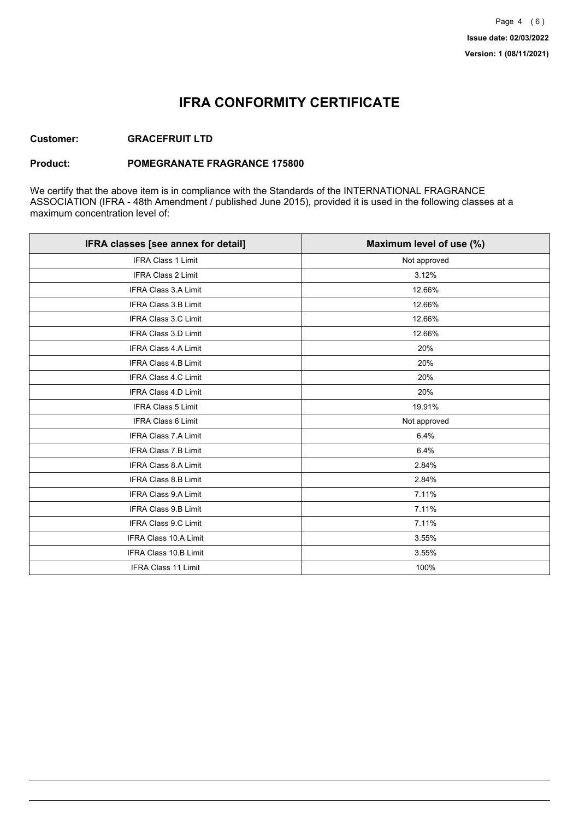## **IFRA CONFORMITY CERTIFICATE**

### **Customer: GRACEFRUIT LTD**

#### **Product: POMEGRANATE FRAGRANCE 175800**

We certify that the above item is in compliance with the Standards of the INTERNATIONAL FRAGRANCE ASSOCIATION (IFRA - 48th Amendment / published June 2015), provided it is used in the following classes at a maximum concentration level of:

| IFRA classes [see annex for detail] | Maximum level of use (%) |
|-------------------------------------|--------------------------|
| <b>IFRA Class 1 Limit</b>           | Not approved             |
| IFRA Class 2 Limit                  | 3.12%                    |
| <b>IFRA Class 3.A Limit</b>         | 12.66%                   |
| IFRA Class 3.B Limit                | 12.66%                   |
| <b>IFRA Class 3.C Limit</b>         | 12.66%                   |
| IFRA Class 3.D Limit                | 12.66%                   |
| IFRA Class 4.A Limit                | 20%                      |
| <b>IFRA Class 4.B Limit</b>         | 20%                      |
| <b>IFRA Class 4.C Limit</b>         | 20%                      |
| <b>IFRA Class 4.D Limit</b>         | 20%                      |
| <b>IFRA Class 5 Limit</b>           | 19.91%                   |
| IFRA Class 6 Limit                  | Not approved             |
| <b>IFRA Class 7.A Limit</b>         | 6.4%                     |
| <b>IFRA Class 7.B Limit</b>         | 6.4%                     |
| <b>IFRA Class 8.A Limit</b>         | 2.84%                    |
| IFRA Class 8.B Limit                | 2.84%                    |
| IFRA Class 9.A Limit                | 7.11%                    |
| <b>IFRA Class 9.B Limit</b>         | 7.11%                    |
| IFRA Class 9.C Limit                | 7.11%                    |
| IFRA Class 10.A Limit               | 3.55%                    |
| IFRA Class 10.B Limit               | 3.55%                    |
| <b>IFRA Class 11 Limit</b>          | 100%                     |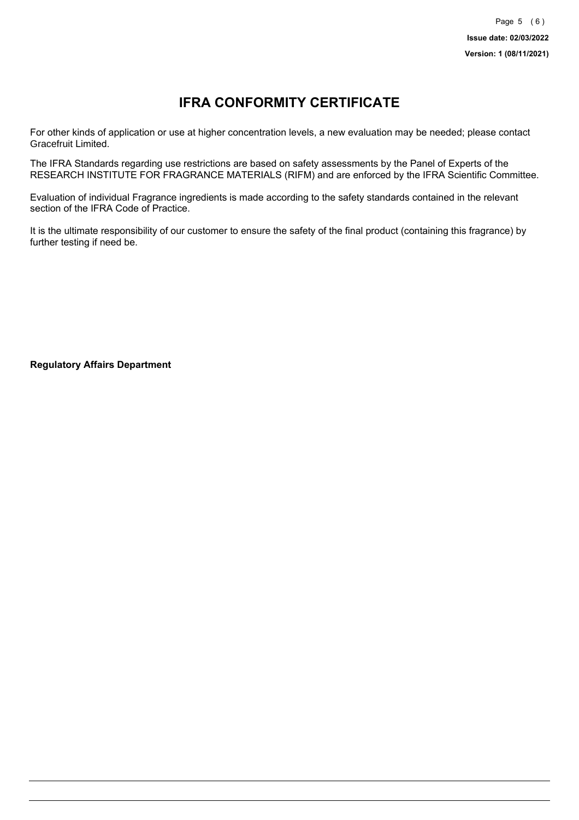# **IFRA CONFORMITY CERTIFICATE**

For other kinds of application or use at higher concentration levels, a new evaluation may be needed; please contact Gracefruit Limited.

The IFRA Standards regarding use restrictions are based on safety assessments by the Panel of Experts of the RESEARCH INSTITUTE FOR FRAGRANCE MATERIALS (RIFM) and are enforced by the IFRA Scientific Committee.

Evaluation of individual Fragrance ingredients is made according to the safety standards contained in the relevant section of the IFRA Code of Practice.

It is the ultimate responsibility of our customer to ensure the safety of the final product (containing this fragrance) by further testing if need be.

**Regulatory Affairs Department**